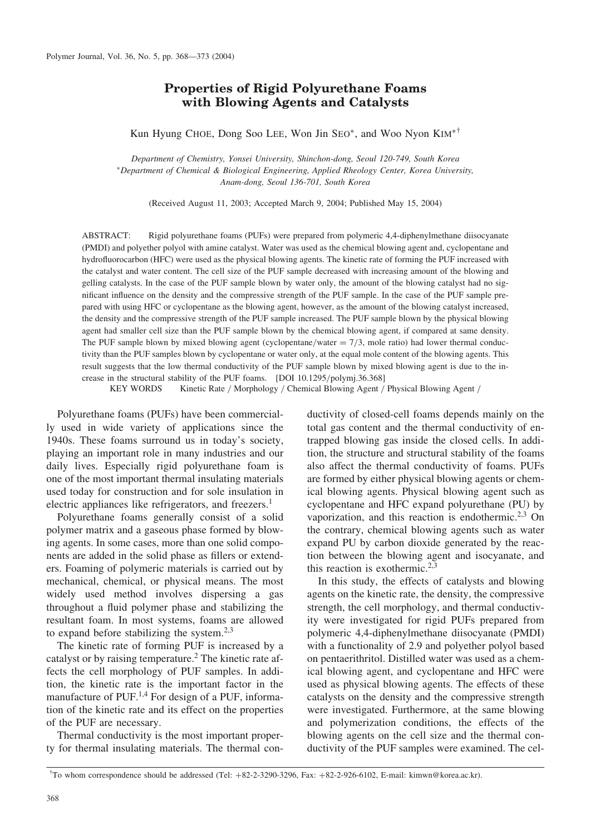# Properties of Rigid Polyurethane Foams with Blowing Agents and Catalysts

Kun Hyung CHOE, Dong Soo LEE, Won Jin SEO\*, and Woo Nyon  $\text{KM}^{* \dagger}$ 

Department of Chemistry, Yonsei University, Shinchon-dong, Seoul 120-749, South Korea Department of Chemical & Biological Engineering, Applied Rheology Center, Korea University, Anam-dong, Seoul 136-701, South Korea

(Received August 11, 2003; Accepted March 9, 2004; Published May 15, 2004)

ABSTRACT: Rigid polyurethane foams (PUFs) were prepared from polymeric 4,4-diphenylmethane diisocyanate (PMDI) and polyether polyol with amine catalyst. Water was used as the chemical blowing agent and, cyclopentane and hydrofluorocarbon (HFC) were used as the physical blowing agents. The kinetic rate of forming the PUF increased with the catalyst and water content. The cell size of the PUF sample decreased with increasing amount of the blowing and gelling catalysts. In the case of the PUF sample blown by water only, the amount of the blowing catalyst had no significant influence on the density and the compressive strength of the PUF sample. In the case of the PUF sample prepared with using HFC or cyclopentane as the blowing agent, however, as the amount of the blowing catalyst increased, the density and the compressive strength of the PUF sample increased. The PUF sample blown by the physical blowing agent had smaller cell size than the PUF sample blown by the chemical blowing agent, if compared at same density. The PUF sample blown by mixed blowing agent (cyclopentane/water  $= 7/3$ , mole ratio) had lower thermal conductivity than the PUF samples blown by cyclopentane or water only, at the equal mole content of the blowing agents. This result suggests that the low thermal conductivity of the PUF sample blown by mixed blowing agent is due to the increase in the structural stability of the PUF foams. [DOI 10.1295/polymj.36.368]

KEY WORDS Kinetic Rate / Morphology / Chemical Blowing Agent / Physical Blowing Agent /

Polyurethane foams (PUFs) have been commercially used in wide variety of applications since the 1940s. These foams surround us in today's society, playing an important role in many industries and our daily lives. Especially rigid polyurethane foam is one of the most important thermal insulating materials used today for construction and for sole insulation in electric appliances like refrigerators, and freezers.<sup>1</sup>

Polyurethane foams generally consist of a solid polymer matrix and a gaseous phase formed by blowing agents. In some cases, more than one solid components are added in the solid phase as fillers or extenders. Foaming of polymeric materials is carried out by mechanical, chemical, or physical means. The most widely used method involves dispersing a gas throughout a fluid polymer phase and stabilizing the resultant foam. In most systems, foams are allowed to expand before stabilizing the system. $2,3$ 

The kinetic rate of forming PUF is increased by a catalyst or by raising temperature.2 The kinetic rate affects the cell morphology of PUF samples. In addition, the kinetic rate is the important factor in the manufacture of PUF.<sup>1,4</sup> For design of a PUF, information of the kinetic rate and its effect on the properties of the PUF are necessary.

Thermal conductivity is the most important property for thermal insulating materials. The thermal conductivity of closed-cell foams depends mainly on the total gas content and the thermal conductivity of entrapped blowing gas inside the closed cells. In addition, the structure and structural stability of the foams also affect the thermal conductivity of foams. PUFs are formed by either physical blowing agents or chemical blowing agents. Physical blowing agent such as cyclopentane and HFC expand polyurethane (PU) by vaporization, and this reaction is endothermic.<sup>2,3</sup> On the contrary, chemical blowing agents such as water expand PU by carbon dioxide generated by the reaction between the blowing agent and isocyanate, and this reaction is exothermic.<sup>2,3</sup>

In this study, the effects of catalysts and blowing agents on the kinetic rate, the density, the compressive strength, the cell morphology, and thermal conductivity were investigated for rigid PUFs prepared from polymeric 4,4-diphenylmethane diisocyanate (PMDI) with a functionality of 2.9 and polyether polyol based on pentaerithritol. Distilled water was used as a chemical blowing agent, and cyclopentane and HFC were used as physical blowing agents. The effects of these catalysts on the density and the compressive strength were investigated. Furthermore, at the same blowing and polymerization conditions, the effects of the blowing agents on the cell size and the thermal conductivity of the PUF samples were examined. The cel-

<sup>&</sup>lt;sup>†</sup>To whom correspondence should be addressed (Tel: +82-2-3290-3296, Fax: +82-2-926-6102, E-mail: kimwn@korea.ac.kr).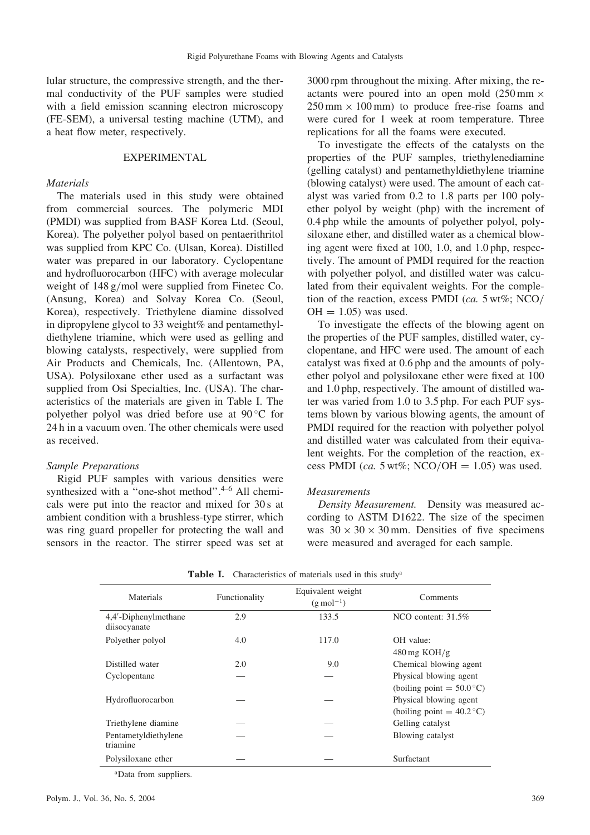lular structure, the compressive strength, and the thermal conductivity of the PUF samples were studied with a field emission scanning electron microscopy (FE-SEM), a universal testing machine (UTM), and a heat flow meter, respectively.

## EXPERIMENTAL

## **Materials**

The materials used in this study were obtained from commercial sources. The polymeric MDI (PMDI) was supplied from BASF Korea Ltd. (Seoul, Korea). The polyether polyol based on pentaerithritol was supplied from KPC Co. (Ulsan, Korea). Distilled water was prepared in our laboratory. Cyclopentane and hydrofluorocarbon (HFC) with average molecular weight of 148 g/mol were supplied from Finetec Co. (Ansung, Korea) and Solvay Korea Co. (Seoul, Korea), respectively. Triethylene diamine dissolved in dipropylene glycol to 33 weight% and pentamethyldiethylene triamine, which were used as gelling and blowing catalysts, respectively, were supplied from Air Products and Chemicals, Inc. (Allentown, PA, USA). Polysiloxane ether used as a surfactant was supplied from Osi Specialties, Inc. (USA). The characteristics of the materials are given in Table I. The polyether polyol was dried before use at 90 °C for 24 h in a vacuum oven. The other chemicals were used as received.

## Sample Preparations

Rigid PUF samples with various densities were synthesized with a "one-shot method". $4-6$  All chemicals were put into the reactor and mixed for 30 s at ambient condition with a brushless-type stirrer, which was ring guard propeller for protecting the wall and sensors in the reactor. The stirrer speed was set at 3000 rpm throughout the mixing. After mixing, the reactants were poured into an open mold  $(250 \text{ mm} \times$  $250 \text{ mm} \times 100 \text{ mm}$  to produce free-rise foams and were cured for 1 week at room temperature. Three replications for all the foams were executed.

To investigate the effects of the catalysts on the properties of the PUF samples, triethylenediamine (gelling catalyst) and pentamethyldiethylene triamine (blowing catalyst) were used. The amount of each catalyst was varied from 0.2 to 1.8 parts per 100 polyether polyol by weight (php) with the increment of 0.4 php while the amounts of polyether polyol, polysiloxane ether, and distilled water as a chemical blowing agent were fixed at 100, 1.0, and 1.0 php, respectively. The amount of PMDI required for the reaction with polyether polyol, and distilled water was calculated from their equivalent weights. For the completion of the reaction, excess PMDI (ca. 5 wt%; NCO/  $OH = 1.05$  was used.

To investigate the effects of the blowing agent on the properties of the PUF samples, distilled water, cyclopentane, and HFC were used. The amount of each catalyst was fixed at 0.6 php and the amounts of polyether polyol and polysiloxane ether were fixed at 100 and 1.0 php, respectively. The amount of distilled water was varied from 1.0 to 3.5 php. For each PUF systems blown by various blowing agents, the amount of PMDI required for the reaction with polyether polyol and distilled water was calculated from their equivalent weights. For the completion of the reaction, excess PMDI (ca. 5 wt%; NCO/OH = 1.05) was used.

### Measurements

Density Measurement. Density was measured according to ASTM D1622. The size of the specimen was  $30 \times 30 \times 30$  mm. Densities of five specimens were measured and averaged for each sample.

| <b>Materials</b>                     | Functionality | Equivalent weight<br>$(g \text{ mol}^{-1})$ | Comments                                                                                    |
|--------------------------------------|---------------|---------------------------------------------|---------------------------------------------------------------------------------------------|
| 4,4'-Diphenylmethane<br>diisocyanate | 2.9           | 133.5                                       | NCO content: $31.5\%$                                                                       |
| Polyether polyol                     | 4.0           | 117.0                                       | OH value:<br>$480 \,\mathrm{mg}$ KOH/g                                                      |
| Distilled water                      | 2.0           | 9.0                                         | Chemical blowing agent                                                                      |
| Cyclopentane                         |               |                                             | Physical blowing agent                                                                      |
| Hydrofluorocarbon                    |               |                                             | (boiling point $= 50.0$ °C)<br>Physical blowing agent<br>(boiling point = $40.2^{\circ}$ C) |
| Triethylene diamine                  |               |                                             | Gelling catalyst                                                                            |
| Pentametyldiethylene<br>triamine     |               |                                             | Blowing catalyst                                                                            |
| Polysiloxane ether                   |               |                                             | Surfactant                                                                                  |

Table I. Characteristics of materials used in this study<sup>a</sup>

<sup>a</sup>Data from suppliers.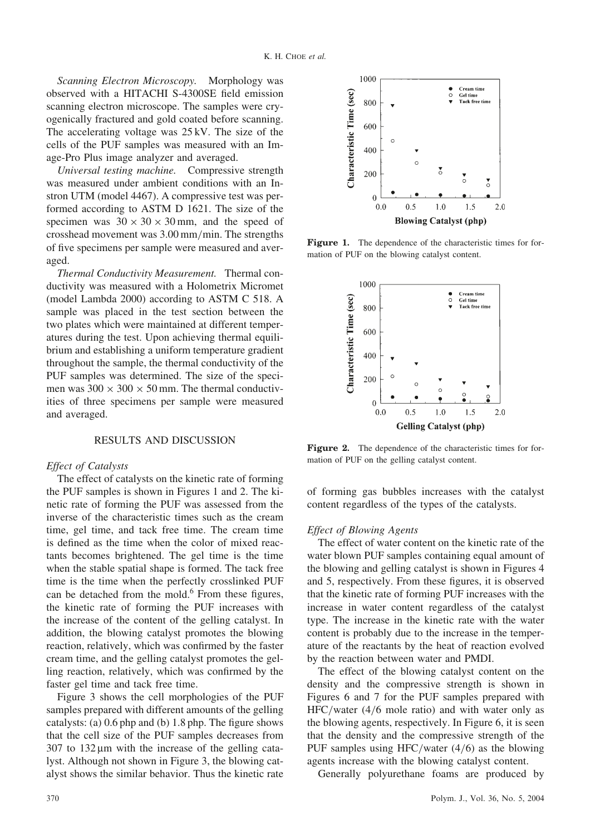Scanning Electron Microscopy. Morphology was observed with a HITACHI S-4300SE field emission scanning electron microscope. The samples were cryogenically fractured and gold coated before scanning. The accelerating voltage was 25 kV. The size of the cells of the PUF samples was measured with an Image-Pro Plus image analyzer and averaged.

Universal testing machine. Compressive strength was measured under ambient conditions with an Instron UTM (model 4467). A compressive test was performed according to ASTM D 1621. The size of the specimen was  $30 \times 30 \times 30$  mm, and the speed of crosshead movement was 3.00 mm/min. The strengths of five specimens per sample were measured and averaged.

Thermal Conductivity Measurement. Thermal conductivity was measured with a Holometrix Micromet (model Lambda 2000) according to ASTM C 518. A sample was placed in the test section between the two plates which were maintained at different temperatures during the test. Upon achieving thermal equilibrium and establishing a uniform temperature gradient throughout the sample, the thermal conductivity of the PUF samples was determined. The size of the specimen was  $300 \times 300 \times 50$  mm. The thermal conductivities of three specimens per sample were measured and averaged.

# RESULTS AND DISCUSSION

#### Effect of Catalysts

The effect of catalysts on the kinetic rate of forming the PUF samples is shown in Figures 1 and 2. The kinetic rate of forming the PUF was assessed from the inverse of the characteristic times such as the cream time, gel time, and tack free time. The cream time is defined as the time when the color of mixed reactants becomes brightened. The gel time is the time when the stable spatial shape is formed. The tack free time is the time when the perfectly crosslinked PUF can be detached from the mold.<sup>6</sup> From these figures, the kinetic rate of forming the PUF increases with the increase of the content of the gelling catalyst. In addition, the blowing catalyst promotes the blowing reaction, relatively, which was confirmed by the faster cream time, and the gelling catalyst promotes the gelling reaction, relatively, which was confirmed by the faster gel time and tack free time.

Figure 3 shows the cell morphologies of the PUF samples prepared with different amounts of the gelling catalysts: (a) 0.6 php and (b) 1.8 php. The figure shows that the cell size of the PUF samples decreases from  $307$  to  $132 \mu m$  with the increase of the gelling catalyst. Although not shown in Figure 3, the blowing catalyst shows the similar behavior. Thus the kinetic rate



Figure 1. The dependence of the characteristic times for formation of PUF on the blowing catalyst content.



Figure 2. The dependence of the characteristic times for formation of PUF on the gelling catalyst content.

of forming gas bubbles increases with the catalyst content regardless of the types of the catalysts.

#### Effect of Blowing Agents

The effect of water content on the kinetic rate of the water blown PUF samples containing equal amount of the blowing and gelling catalyst is shown in Figures 4 and 5, respectively. From these figures, it is observed that the kinetic rate of forming PUF increases with the increase in water content regardless of the catalyst type. The increase in the kinetic rate with the water content is probably due to the increase in the temperature of the reactants by the heat of reaction evolved by the reaction between water and PMDI.

The effect of the blowing catalyst content on the density and the compressive strength is shown in Figures 6 and 7 for the PUF samples prepared with HFC/water (4/6 mole ratio) and with water only as the blowing agents, respectively. In Figure 6, it is seen that the density and the compressive strength of the PUF samples using HFC/water (4/6) as the blowing agents increase with the blowing catalyst content.

Generally polyurethane foams are produced by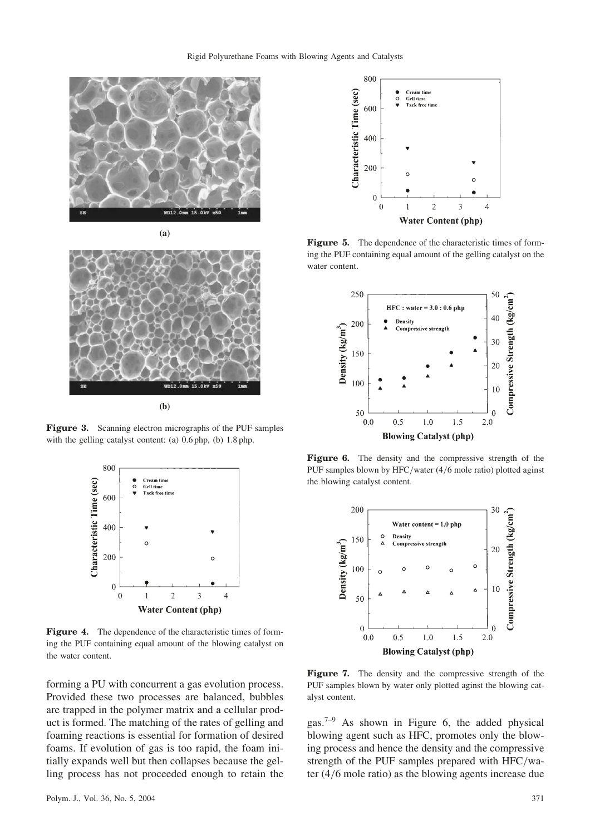



**(b)**

Figure 3. Scanning electron micrographs of the PUF samples with the gelling catalyst content: (a) 0.6 php, (b) 1.8 php.



Figure 4. The dependence of the characteristic times of forming the PUF containing equal amount of the blowing catalyst on the water content.

forming a PU with concurrent a gas evolution process. Provided these two processes are balanced, bubbles are trapped in the polymer matrix and a cellular product is formed. The matching of the rates of gelling and foaming reactions is essential for formation of desired foams. If evolution of gas is too rapid, the foam initially expands well but then collapses because the gelling process has not proceeded enough to retain the



**Figure 5.** The dependence of the characteristic times of forming the PUF containing equal amount of the gelling catalyst on the water content.



Figure 6. The density and the compressive strength of the PUF samples blown by HFC/water (4/6 mole ratio) plotted aginst the blowing catalyst content.



Figure 7. The density and the compressive strength of the PUF samples blown by water only plotted aginst the blowing catalyst content.

gas.7–9 As shown in Figure 6, the added physical blowing agent such as HFC, promotes only the blowing process and hence the density and the compressive strength of the PUF samples prepared with HFC/water (4/6 mole ratio) as the blowing agents increase due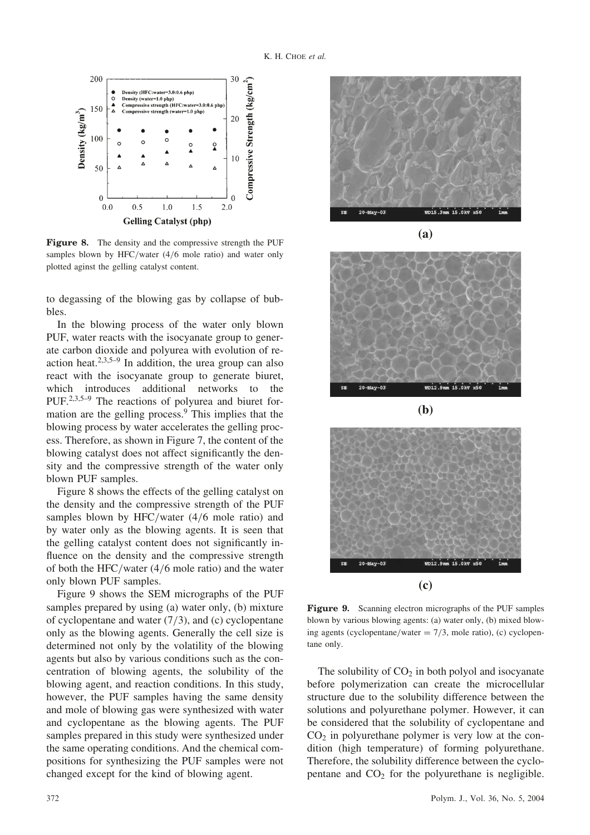

Figure 8. The density and the compressive strength the PUF samples blown by HFC/water (4/6 mole ratio) and water only plotted aginst the gelling catalyst content.

to degassing of the blowing gas by collapse of bubbles.

In the blowing process of the water only blown PUF, water reacts with the isocyanate group to generate carbon dioxide and polyurea with evolution of reaction heat. $2,3,5-9$  In addition, the urea group can also react with the isocyanate group to generate biuret, which introduces additional networks to the PUF.2,3,5–9 The reactions of polyurea and biuret formation are the gelling process.<sup>9</sup> This implies that the blowing process by water accelerates the gelling process. Therefore, as shown in Figure 7, the content of the blowing catalyst does not affect significantly the density and the compressive strength of the water only blown PUF samples.

Figure 8 shows the effects of the gelling catalyst on the density and the compressive strength of the PUF samples blown by HFC/water (4/6 mole ratio) and by water only as the blowing agents. It is seen that the gelling catalyst content does not significantly influence on the density and the compressive strength of both the HFC/water (4/6 mole ratio) and the water only blown PUF samples.

Figure 9 shows the SEM micrographs of the PUF samples prepared by using (a) water only, (b) mixture of cyclopentane and water (7/3), and (c) cyclopentane only as the blowing agents. Generally the cell size is determined not only by the volatility of the blowing agents but also by various conditions such as the concentration of blowing agents, the solubility of the blowing agent, and reaction conditions. In this study, however, the PUF samples having the same density and mole of blowing gas were synthesized with water and cyclopentane as the blowing agents. The PUF samples prepared in this study were synthesized under the same operating conditions. And the chemical compositions for synthesizing the PUF samples were not changed except for the kind of blowing agent.





**(b)**



Figure 9. Scanning electron micrographs of the PUF samples blown by various blowing agents: (a) water only, (b) mixed blowing agents (cyclopentane/water  $= 7/3$ , mole ratio), (c) cyclopentane only.

The solubility of  $CO<sub>2</sub>$  in both polyol and isocyanate before polymerization can create the microcellular structure due to the solubility difference between the solutions and polyurethane polymer. However, it can be considered that the solubility of cyclopentane and  $CO<sub>2</sub>$  in polyurethane polymer is very low at the condition (high temperature) of forming polyurethane. Therefore, the solubility difference between the cyclopentane and  $CO<sub>2</sub>$  for the polyurethane is negligible.